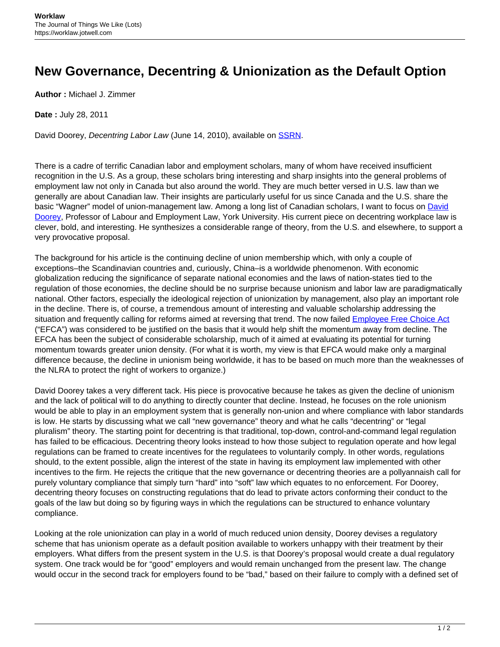## **New Governance, Decentring & Unionization as the Default Option**

**Author :** Michael J. Zimmer

**Date :** July 28, 2011

David Doorey, Decentring Labor Law (June 14, 2010), available on **SSRN**.

There is a cadre of terrific Canadian labor and employment scholars, many of whom have received insufficient recognition in the U.S. As a group, these scholars bring interesting and sharp insights into the general problems of employment law not only in Canada but also around the world. They are much better versed in U.S. law than we generally are about Canadian law. Their insights are particularly useful for us since Canada and the U.S. share the basic "Wagner" model of union-management law. Among a long list of Canadian scholars, I want to focus on [David](http://www.yorku.ca/ddoorey/lawblog/) [Doorey,](http://www.yorku.ca/ddoorey/lawblog/) Professor of Labour and Employment Law, York University. His current piece on decentring workplace law is clever, bold, and interesting. He synthesizes a considerable range of theory, from the U.S. and elsewhere, to support a very provocative proposal.

The background for his article is the continuing decline of union membership which, with only a couple of exceptions–the Scandinavian countries and, curiously, China–is a worldwide phenomenon. With economic globalization reducing the significance of separate national economies and the laws of nation-states tied to the regulation of those economies, the decline should be no surprise because unionism and labor law are paradigmatically national. Other factors, especially the ideological rejection of unionization by management, also play an important role in the decline. There is, of course, a tremendous amount of interesting and valuable scholarship addressing the situation and frequently calling for reforms aimed at reversing that trend. The now failed **[Employee Free Choice Act](http://en.wikipedia.org/wiki/Employee_Free_Choice_Act)** ("EFCA") was considered to be justified on the basis that it would help shift the momentum away from decline. The EFCA has been the subject of considerable scholarship, much of it aimed at evaluating its potential for turning momentum towards greater union density. (For what it is worth, my view is that EFCA would make only a marginal difference because, the decline in unionism being worldwide, it has to be based on much more than the weaknesses of the NLRA to protect the right of workers to organize.)

David Doorey takes a very different tack. His piece is provocative because he takes as given the decline of unionism and the lack of political will to do anything to directly counter that decline. Instead, he focuses on the role unionism would be able to play in an employment system that is generally non-union and where compliance with labor standards is low. He starts by discussing what we call "new governance" theory and what he calls "decentring" or "legal pluralism" theory. The starting point for decentring is that traditional, top-down, control-and-command legal regulation has failed to be efficacious. Decentring theory looks instead to how those subject to regulation operate and how legal regulations can be framed to create incentives for the regulatees to voluntarily comply. In other words, regulations should, to the extent possible, align the interest of the state in having its employment law implemented with other incentives to the firm. He rejects the critique that the new governance or decentring theories are a pollyannaish call for purely voluntary compliance that simply turn "hard" into "soft" law which equates to no enforcement. For Doorey, decentring theory focuses on constructing regulations that do lead to private actors conforming their conduct to the goals of the law but doing so by figuring ways in which the regulations can be structured to enhance voluntary compliance.

Looking at the role unionization can play in a world of much reduced union density, Doorey devises a regulatory scheme that has unionism operate as a default position available to workers unhappy with their treatment by their employers. What differs from the present system in the U.S. is that Doorey's proposal would create a dual regulatory system. One track would be for "good" employers and would remain unchanged from the present law. The change would occur in the second track for employers found to be "bad," based on their failure to comply with a defined set of